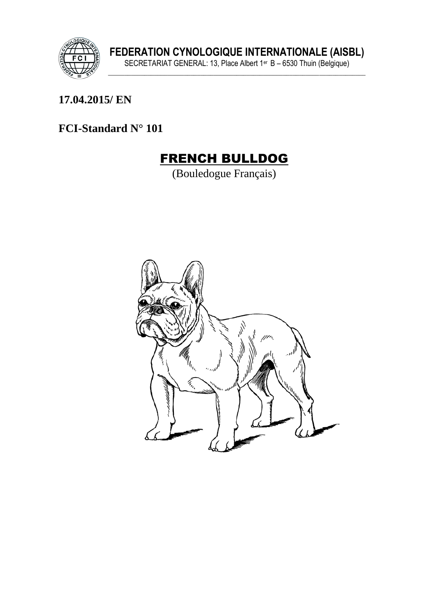

17.04.2015/EN

### FCI-Standard N° 101

# **FRENCH BULLDOG**

(Bouledogue Français)

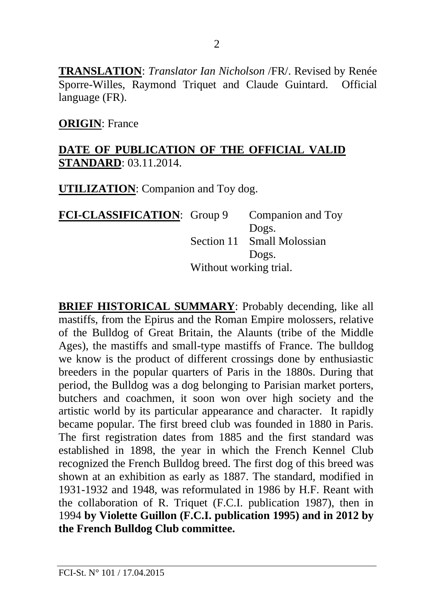**TRANSLATION**: *Translator Ian Nicholson* /FR/. Revised by Renée Sporre-Willes, Raymond Triquet and Claude Guintard. Official language (FR).

**ORIGIN**: France

#### **DATE OF PUBLICATION OF THE OFFICIAL VALID STANDARD**: 03.11.2014.

**UTILIZATION**: Companion and Toy dog.

**FCI-CLASSIFICATION:** Group 9 Companion and Toy Dogs. Section 11 Small Molossian Dogs. Without working trial.

**BRIEF HISTORICAL SUMMARY**: Probably decending, like all mastiffs, from the Epirus and the Roman Empire molossers, relative of the Bulldog of Great Britain, the Alaunts (tribe of the Middle Ages), the mastiffs and small-type mastiffs of France. The bulldog we know is the product of different crossings done by enthusiastic breeders in the popular quarters of Paris in the 1880s. During that period, the Bulldog was a dog belonging to Parisian market porters, butchers and coachmen, it soon won over high society and the artistic world by its particular appearance and character. It rapidly became popular. The first breed club was founded in 1880 in Paris. The first registration dates from 1885 and the first standard was established in 1898, the year in which the French Kennel Club recognized the French Bulldog breed. The first dog of this breed was shown at an exhibition as early as 1887. The standard, modified in 1931-1932 and 1948, was reformulated in 1986 by H.F. Reant with the collaboration of R. Triquet (F.C.I. publication 1987), then in 1994 **by Violette Guillon (F.C.I. publication 1995) and in 2012 by the French Bulldog Club committee.**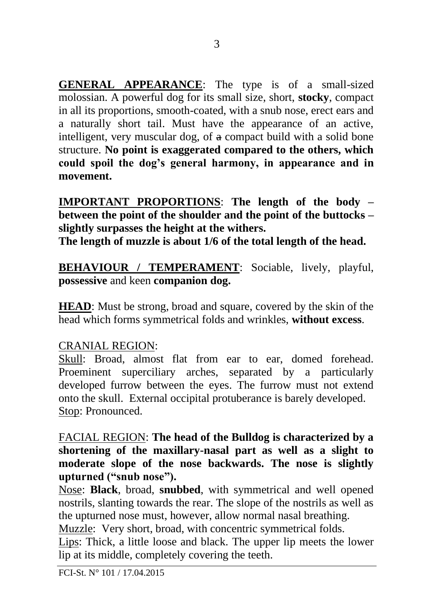**GENERAL APPEARANCE**: The type is of a small-sized molossian. A powerful dog for its small size, short, **stocky**, compact in all its proportions, smooth-coated, with a snub nose, erect ears and a naturally short tail. Must have the appearance of an active, intelligent, very muscular dog, of a compact build with a solid bone structure. **No point is exaggerated compared to the others, which could spoil the dog's general harmony, in appearance and in movement.**

**IMPORTANT PROPORTIONS**: **The length of the body – between the point of the shoulder and the point of the buttocks – slightly surpasses the height at the withers.** 

**The length of muzzle is about 1/6 of the total length of the head.**

**BEHAVIOUR / TEMPERAMENT**: Sociable, lively, playful, **possessive** and keen **companion dog.** 

**HEAD**: Must be strong, broad and square, covered by the skin of the head which forms symmetrical folds and wrinkles, **without excess**.

#### CRANIAL REGION:

Skull: Broad, almost flat from ear to ear, domed forehead. Proeminent superciliary arches, separated by a particularly developed furrow between the eyes. The furrow must not extend onto the skull. External occipital protuberance is barely developed. Stop: Pronounced.

FACIAL REGION: **The head of the Bulldog is characterized by a shortening of the maxillary-nasal part as well as a slight to moderate slope of the nose backwards. The nose is slightly upturned ("snub nose").**

Nose: **Black**, broad, **snubbed**, with symmetrical and well opened nostrils, slanting towards the rear. The slope of the nostrils as well as the upturned nose must, however, allow normal nasal breathing.

Muzzle: Very short, broad, with concentric symmetrical folds.

Lips: Thick, a little loose and black. The upper lip meets the lower lip at its middle, completely covering the teeth.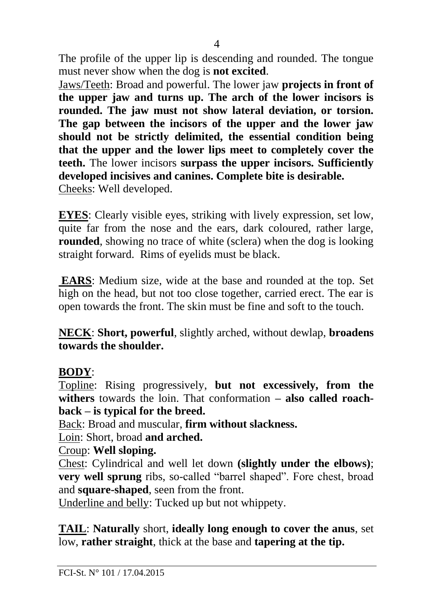The profile of the upper lip is descending and rounded. The tongue must never show when the dog is **not excited**.

Jaws/Teeth: Broad and powerful. The lower jaw **projects in front of the upper jaw and turns up. The arch of the lower incisors is rounded. The jaw must not show lateral deviation, or torsion. The gap between the incisors of the upper and the lower jaw should not be strictly delimited, the essential condition being that the upper and the lower lips meet to completely cover the teeth.** The lower incisors **surpass the upper incisors. Sufficiently developed incisives and canines. Complete bite is desirable.**  Cheeks: Well developed.

**EYES**: Clearly visible eyes, striking with lively expression, set low, quite far from the nose and the ears, dark coloured, rather large, **rounded**, showing no trace of white (sclera) when the dog is looking straight forward. Rims of eyelids must be black.

**EARS**: Medium size, wide at the base and rounded at the top. Set high on the head, but not too close together, carried erect. The ear is open towards the front. The skin must be fine and soft to the touch.

**NECK**: **Short, powerful**, slightly arched, without dewlap, **broadens towards the shoulder.**

### **BODY**:

Topline: Rising progressively, **but not excessively, from the withers** towards the loin. That conformation **– also called roachback – is typical for the breed.** 

Back: Broad and muscular, **firm without slackness.**

Loin: Short, broad **and arched.**

### Croup: **Well sloping.**

Chest: Cylindrical and well let down **(slightly under the elbows)**; **very well sprung** ribs, so-called "barrel shaped". Fore chest, broad and **square-shaped**, seen from the front.

Underline and belly: Tucked up but not whippety.

**TAIL**: **Naturally** short, **ideally long enough to cover the anus**, set low, **rather straight**, thick at the base and **tapering at the tip.**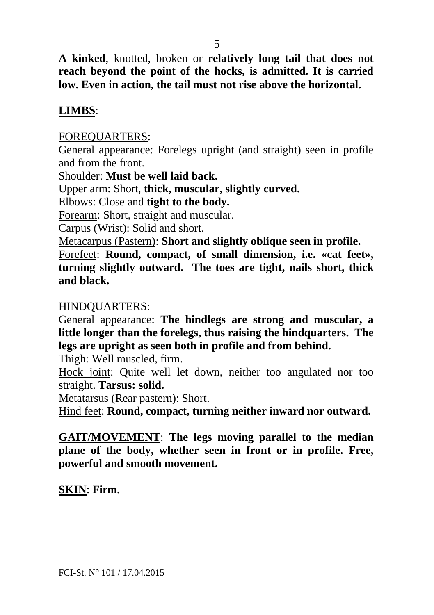**A kinked**, knotted, broken or **relatively long tail that does not reach beyond the point of the hocks, is admitted. It is carried low. Even in action, the tail must not rise above the horizontal.** 

#### **LIMBS**:

FOREQUARTERS:

General appearance: Forelegs upright (and straight) seen in profile and from the front.

Shoulder: **Must be well laid back.**

Upper arm: Short, **thick, muscular, slightly curved.**

Elbows: Close and **tight to the body.**

Forearm: Short, straight and muscular.

Carpus (Wrist): Solid and short.

Metacarpus (Pastern): **Short and slightly oblique seen in profile.** Forefeet: **Round, compact, of small dimension, i.e. «cat feet», turning slightly outward. The toes are tight, nails short, thick and black.**

#### HINDQUARTERS:

General appearance: **The hindlegs are strong and muscular, a little longer than the forelegs, thus raising the hindquarters. The legs are upright as seen both in profile and from behind.** 

Thigh: Well muscled, firm.

Hock joint: Quite well let down, neither too angulated nor too straight. **Tarsus: solid.**

Metatarsus (Rear pastern): Short.

Hind feet: **Round, compact, turning neither inward nor outward.**

**GAIT/MOVEMENT**: **The legs moving parallel to the median plane of the body, whether seen in front or in profile. Free, powerful and smooth movement.** 

**SKIN**: **Firm.**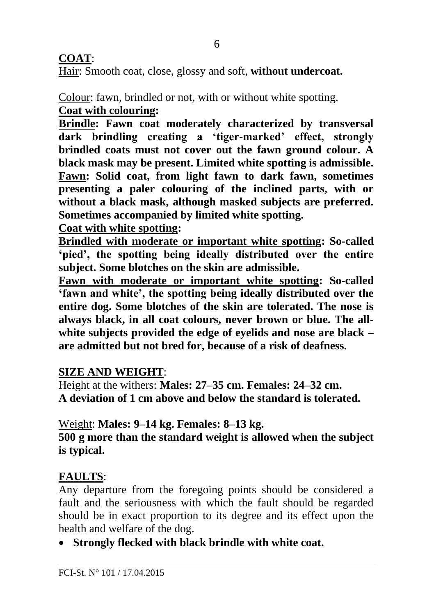### **COAT**:

Hair: Smooth coat, close, glossy and soft, **without undercoat.**

Colour: fawn, brindled or not, with or without white spotting. **Coat with colouring:**

**Brindle: Fawn coat moderately characterized by transversal dark brindling creating a 'tiger-marked' effect, strongly brindled coats must not cover out the fawn ground colour. A black mask may be present. Limited white spotting is admissible. Fawn: Solid coat, from light fawn to dark fawn, sometimes presenting a paler colouring of the inclined parts, with or without a black mask, although masked subjects are preferred. Sometimes accompanied by limited white spotting.** 

**Coat with white spotting:** 

**Brindled with moderate or important white spotting: So-called 'pied', the spotting being ideally distributed over the entire subject. Some blotches on the skin are admissible.** 

**Fawn with moderate or important white spotting: So-called 'fawn and white', the spotting being ideally distributed over the entire dog. Some blotches of the skin are tolerated. The nose is always black, in all coat colours, never brown or blue. The allwhite subjects provided the edge of eyelids and nose are black – are admitted but not bred for, because of a risk of deafness.**

### **SIZE AND WEIGHT**:

Height at the withers: **Males: 27–35 cm. Females: 24–32 cm. A deviation of 1 cm above and below the standard is tolerated.**

Weight: **Males: 9–14 kg. Females: 8–13 kg.**

**500 g more than the standard weight is allowed when the subject is typical.**

### **FAULTS**:

Any departure from the foregoing points should be considered a fault and the seriousness with which the fault should be regarded should be in exact proportion to its degree and its effect upon the health and welfare of the dog.

• **Strongly flecked with black brindle with white coat.**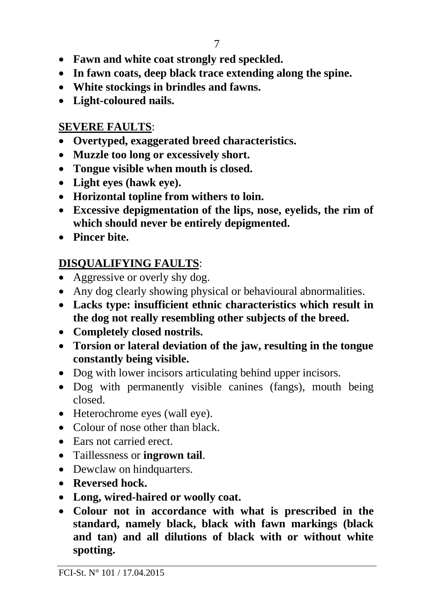- **Fawn and white coat strongly red speckled.**
- **In fawn coats, deep black trace extending along the spine.**
- **White stockings in brindles and fawns.**
- **Light-coloured nails.**

### **SEVERE FAULTS**:

- **Overtyped, exaggerated breed characteristics.**
- **Muzzle too long or excessively short.**
- **Tongue visible when mouth is closed.**
- **Light eyes (hawk eye).**
- **Horizontal topline from withers to loin.**
- **Excessive depigmentation of the lips, nose, eyelids, the rim of which should never be entirely depigmented.**
- **Pincer bite.**

## **DISQUALIFYING FAULTS**:

- Aggressive or overly shy dog.
- Any dog clearly showing physical or behavioural abnormalities.
- **Lacks type: insufficient ethnic characteristics which result in the dog not really resembling other subjects of the breed.**
- **Completely closed nostrils.**
- **Torsion or lateral deviation of the jaw, resulting in the tongue constantly being visible.**
- Dog with lower incisors articulating behind upper incisors.
- Dog with permanently visible canines (fangs), mouth being closed.
- Heterochrome eyes (wall eye).
- Colour of nose other than black.
- Ears not carried erect.
- Taillessness or **ingrown tail**.
- Dewclaw on hindquarters.
- **Reversed hock.**
- **Long, wired-haired or woolly coat.**
- **Colour not in accordance with what is prescribed in the standard, namely black, black with fawn markings (black and tan) and all dilutions of black with or without white spotting.**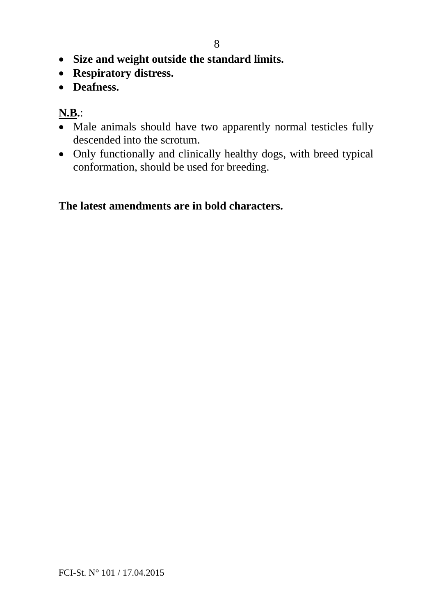- **Size and weight outside the standard limits.**
- **Respiratory distress.**
- **Deafness.**

### **N.B.**:

- Male animals should have two apparently normal testicles fully descended into the scrotum.
- Only functionally and clinically healthy dogs, with breed typical conformation, should be used for breeding.

#### **The latest amendments are in bold characters.**